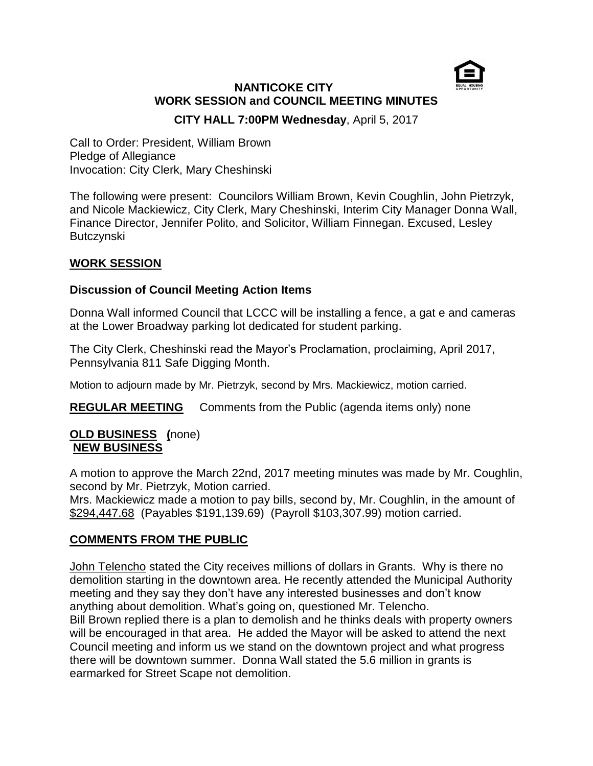

# **NANTICOKE CITY WORK SESSION and COUNCIL MEETING MINUTES**

**CITY HALL 7:00PM Wednesday**, April 5, 2017

Call to Order: President, William Brown Pledge of Allegiance Invocation: City Clerk, Mary Cheshinski

The following were present: Councilors William Brown, Kevin Coughlin, John Pietrzyk, and Nicole Mackiewicz, City Clerk, Mary Cheshinski, Interim City Manager Donna Wall, Finance Director, Jennifer Polito, and Solicitor, William Finnegan. Excused, Lesley Butczynski

## **WORK SESSION**

## **Discussion of Council Meeting Action Items**

Donna Wall informed Council that LCCC will be installing a fence, a gat e and cameras at the Lower Broadway parking lot dedicated for student parking.

The City Clerk, Cheshinski read the Mayor's Proclamation, proclaiming, April 2017, Pennsylvania 811 Safe Digging Month.

Motion to adjourn made by Mr. Pietrzyk, second by Mrs. Mackiewicz, motion carried.

**REGULAR MEETING** Comments from the Public (agenda items only) none

### **OLD BUSINESS (**none) **NEW BUSINESS**

A motion to approve the March 22nd, 2017 meeting minutes was made by Mr. Coughlin, second by Mr. Pietrzyk, Motion carried.

Mrs. Mackiewicz made a motion to pay bills, second by, Mr. Coughlin, in the amount of \$294,447.68 (Payables \$191,139.69) (Payroll \$103,307.99) motion carried.

### **COMMENTS FROM THE PUBLIC**

John Telencho stated the City receives millions of dollars in Grants. Why is there no demolition starting in the downtown area. He recently attended the Municipal Authority meeting and they say they don't have any interested businesses and don't know anything about demolition. What's going on, questioned Mr. Telencho. Bill Brown replied there is a plan to demolish and he thinks deals with property owners will be encouraged in that area. He added the Mayor will be asked to attend the next Council meeting and inform us we stand on the downtown project and what progress there will be downtown summer. Donna Wall stated the 5.6 million in grants is earmarked for Street Scape not demolition.